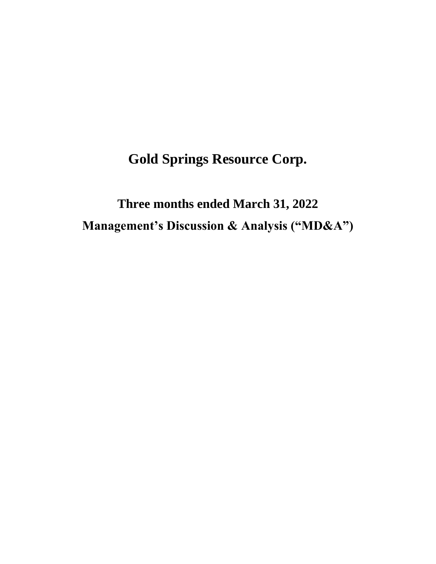**Gold Springs Resource Corp.**

**Three months ended March 31, 2022 Management's Discussion & Analysis ("MD&A")**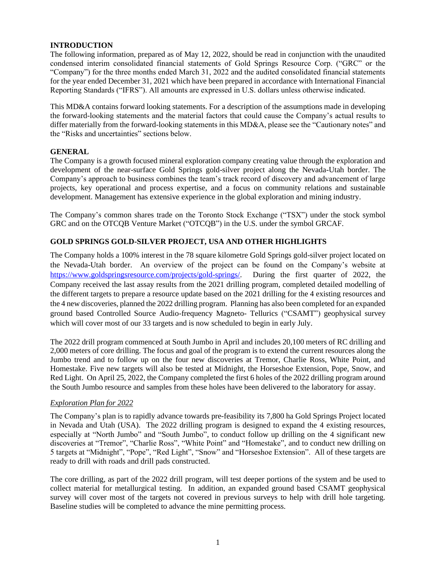## **INTRODUCTION**

The following information, prepared as of May 12, 2022, should be read in conjunction with the unaudited condensed interim consolidated financial statements of Gold Springs Resource Corp. ("GRC" or the "Company") for the three months ended March 31, 2022 and the audited consolidated financial statements for the year ended December 31, 2021 which have been prepared in accordance with International Financial Reporting Standards ("IFRS"). All amounts are expressed in U.S. dollars unless otherwise indicated.

This MD&A contains forward looking statements. For a description of the assumptions made in developing the forward-looking statements and the material factors that could cause the Company's actual results to differ materially from the forward-looking statements in this MD&A, please see the "Cautionary notes" and the "Risks and uncertainties" sections below.

## **GENERAL**

The Company is a growth focused mineral exploration company creating value through the exploration and development of the near-surface Gold Springs gold-silver project along the Nevada-Utah border. The Company's approach to business combines the team's track record of discovery and advancement of large projects, key operational and process expertise, and a focus on community relations and sustainable development. Management has extensive experience in the global exploration and mining industry.

The Company's common shares trade on the Toronto Stock Exchange ("TSX") under the stock symbol GRC and on the OTCQB Venture Market ("OTCQB") in the U.S. under the symbol GRCAF.

## **GOLD SPRINGS GOLD-SILVER PROJECT, USA AND OTHER HIGHLIGHTS**

The Company holds a 100% interest in the 78 square kilometre Gold Springs gold-silver project located on the Nevada-Utah border. An overview of the project can be found on the Company's website at [https://www.goldspringsresource.com/projects/gold-springs/.](about:blank) During the first quarter of 2022, the Company received the last assay results from the 2021 drilling program, completed detailed modelling of the different targets to prepare a resource update based on the 2021 drilling for the 4 existing resources and the 4 new discoveries, planned the 2022 drilling program. Planning has also been completed for an expanded ground based Controlled Source Audio-frequency Magneto- Tellurics ("CSAMT") geophysical survey which will cover most of our 33 targets and is now scheduled to begin in early July.

The 2022 drill program commenced at South Jumbo in April and includes 20,100 meters of RC drilling and 2,000 meters of core drilling. The focus and goal of the program is to extend the current resources along the Jumbo trend and to follow up on the four new discoveries at Tremor, Charlie Ross, White Point, and Homestake. Five new targets will also be tested at Midnight, the Horseshoe Extension, Pope, Snow, and Red Light. On April 25, 2022, the Company completed the first 6 holes of the 2022 drilling program around the South Jumbo resource and samples from these holes have been delivered to the laboratory for assay.

## *Exploration Plan for 2022*

The Company's plan is to rapidly advance towards pre-feasibility its 7,800 ha Gold Springs Project located in Nevada and Utah (USA). The 2022 drilling program is designed to expand the 4 existing resources, especially at "North Jumbo" and "South Jumbo", to conduct follow up drilling on the 4 significant new discoveries at "Tremor", "Charlie Ross", "White Point" and "Homestake", and to conduct new drilling on 5 targets at "Midnight", "Pope", "Red Light", "Snow" and "Horseshoe Extension". All of these targets are ready to drill with roads and drill pads constructed.

The core drilling, as part of the 2022 drill program, will test deeper portions of the system and be used to collect material for metallurgical testing. In addition, an expanded ground based CSAMT geophysical survey will cover most of the targets not covered in previous surveys to help with drill hole targeting. Baseline studies will be completed to advance the mine permitting process.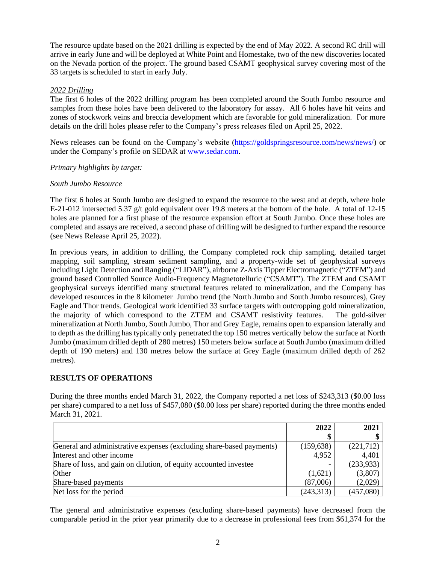The resource update based on the 2021 drilling is expected by the end of May 2022. A second RC drill will arrive in early June and will be deployed at White Point and Homestake, two of the new discoveries located on the Nevada portion of the project. The ground based CSAMT geophysical survey covering most of the 33 targets is scheduled to start in early July.

## *2022 Drilling*

The first 6 holes of the 2022 drilling program has been completed around the South Jumbo resource and samples from these holes have been delivered to the laboratory for assay. All 6 holes have hit veins and zones of stockwork veins and breccia development which are favorable for gold mineralization. For more details on the drill holes please refer to the Company's press releases filed on April 25, 2022.

News releases can be found on the Company's website (https://goldspringsresource.com/news/news/) or under the Company's profile on SEDAR at www.sedar.com.

## *Primary highlights by target:*

## *South Jumbo Resource*

The first 6 holes at South Jumbo are designed to expand the resource to the west and at depth, where hole E-21-012 intersected 5.37 g/t gold equivalent over 19.8 meters at the bottom of the hole. A total of 12-15 holes are planned for a first phase of the resource expansion effort at South Jumbo. Once these holes are completed and assays are received, a second phase of drilling will be designed to further expand the resource (see News Release April 25, 2022).

In previous years, in addition to drilling, the Company completed rock chip sampling, detailed target mapping, soil sampling, stream sediment sampling, and a property-wide set of geophysical surveys including Light Detection and Ranging ("LIDAR"), airborne Z-Axis Tipper Electromagnetic ("ZTEM") and ground based Controlled Source Audio-Frequency Magnetotelluric ("CSAMT"). The ZTEM and CSAMT geophysical surveys identified many structural features related to mineralization, and the Company has developed resources in the 8 kilometer Jumbo trend (the North Jumbo and South Jumbo resources), Grey Eagle and Thor trends. Geological work identified 33 surface targets with outcropping gold mineralization, the majority of which correspond to the ZTEM and CSAMT resistivity features. The gold-silver mineralization at North Jumbo, South Jumbo, Thor and Grey Eagle, remains open to expansion laterally and to depth as the drilling has typically only penetrated the top 150 metres vertically below the surface at North Jumbo (maximum drilled depth of 280 metres) 150 meters below surface at South Jumbo (maximum drilled depth of 190 meters) and 130 metres below the surface at Grey Eagle (maximum drilled depth of 262 metres).

## **RESULTS OF OPERATIONS**

During the three months ended March 31, 2022, the Company reported a net loss of \$243,313 (\$0.00 loss per share) compared to a net loss of \$457,080 (\$0.00 loss per share) reported during the three months ended March 31, 2021.

|                                                                      | 2022       | 2021       |
|----------------------------------------------------------------------|------------|------------|
|                                                                      | \$         |            |
| General and administrative expenses (excluding share-based payments) | (159, 638) | (221, 712) |
| Interest and other income                                            | 4,952      | 4,401      |
| Share of loss, and gain on dilution, of equity accounted investee    |            | (233, 933) |
| Other                                                                | (1,621)    | (3,807)    |
| Share-based payments                                                 | (87,006)   | (2,029)    |
| Net loss for the period                                              | (243, 313) | (457,080)  |

The general and administrative expenses (excluding share-based payments) have decreased from the comparable period in the prior year primarily due to a decrease in professional fees from \$61,374 for the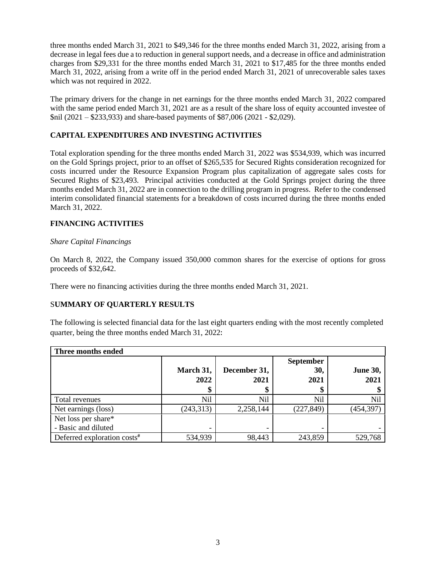three months ended March 31, 2021 to \$49,346 for the three months ended March 31, 2022, arising from a decrease in legal fees due a to reduction in general support needs, and a decrease in office and administration charges from \$29,331 for the three months ended March 31, 2021 to \$17,485 for the three months ended March 31, 2022, arising from a write off in the period ended March 31, 2021 of unrecoverable sales taxes which was not required in 2022.

The primary drivers for the change in net earnings for the three months ended March 31, 2022 compared with the same period ended March 31, 2021 are as a result of the share loss of equity accounted investee of \$nil (2021 – \$233,933) and share-based payments of \$87,006 (2021 - \$2,029).

# **CAPITAL EXPENDITURES AND INVESTING ACTIVITIES**

Total exploration spending for the three months ended March 31, 2022 was \$534,939, which was incurred on the Gold Springs project, prior to an offset of \$265,535 for Secured Rights consideration recognized for costs incurred under the Resource Expansion Program plus capitalization of aggregate sales costs for Secured Rights of \$23,493. Principal activities conducted at the Gold Springs project during the three months ended March 31, 2022 are in connection to the drilling program in progress. Refer to the condensed interim consolidated financial statements for a breakdown of costs incurred during the three months ended March 31, 2022.

## **FINANCING ACTIVITIES**

## *Share Capital Financings*

On March 8, 2022, the Company issued 350,000 common shares for the exercise of options for gross proceeds of \$32,642.

There were no financing activities during the three months ended March 31, 2021.

## S**UMMARY OF QUARTERLY RESULTS**

The following is selected financial data for the last eight quarters ending with the most recently completed quarter, being the three months ended March 31, 2022:

| Three months ended                         |                   |                            |                                 |                         |
|--------------------------------------------|-------------------|----------------------------|---------------------------------|-------------------------|
|                                            | March 31,<br>2022 | December 31,<br>2021<br>\$ | <b>September</b><br>30,<br>2021 | <b>June 30,</b><br>2021 |
| Total revenues                             | Nil               | Nil                        | Nil                             | <b>Nil</b>              |
| Net earnings (loss)                        | (243, 313)        | 2,258,144                  | (227, 849)                      | (454, 397)              |
| Net loss per share*<br>- Basic and diluted |                   |                            |                                 |                         |
| Deferred exploration costs#                | 534,939           | 98,443                     | 243,859                         | 529,768                 |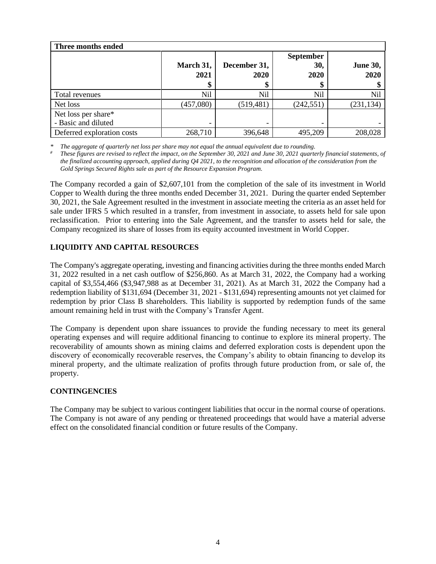| Three months ended                         |                   |                            |                                 |                         |
|--------------------------------------------|-------------------|----------------------------|---------------------------------|-------------------------|
|                                            | March 31,<br>2021 | December 31,<br>2020<br>\$ | <b>September</b><br>30,<br>2020 | <b>June 30,</b><br>2020 |
| Total revenues                             | Nil               | Nil                        | Nil                             | Nil                     |
| Net loss                                   | (457,080)         | (519, 481)                 | (242, 551)                      | (231, 134)              |
| Net loss per share*<br>- Basic and diluted |                   |                            |                                 |                         |
| Deferred exploration costs                 | 268,710           | 396,648                    | 495,209                         | 208,028                 |

*\* The aggregate of quarterly net loss per share may not equal the annual equivalent due to rounding.*

*# These figures are revised to reflect the impact, on the September 30, 2021 and June 30, 2021 quarterly financial statements, of the finalized accounting approach, applied during Q4 2021, to the recognition and allocation of the consideration from the Gold Springs Secured Rights sale as part of the Resource Expansion Program.*

The Company recorded a gain of \$2,607,101 from the completion of the sale of its investment in World Copper to Wealth during the three months ended December 31, 2021. During the quarter ended September 30, 2021, the Sale Agreement resulted in the investment in associate meeting the criteria as an asset held for sale under IFRS 5 which resulted in a transfer, from investment in associate, to assets held for sale upon reclassification. Prior to entering into the Sale Agreement, and the transfer to assets held for sale, the Company recognized its share of losses from its equity accounted investment in World Copper.

# **LIQUIDITY AND CAPITAL RESOURCES**

The Company's aggregate operating, investing and financing activities during the three months ended March 31, 2022 resulted in a net cash outflow of \$256,860. As at March 31, 2022, the Company had a working capital of \$3,554,466 (\$3,947,988 as at December 31, 2021). As at March 31, 2022 the Company had a redemption liability of \$131,694 (December 31, 2021 - \$131,694) representing amounts not yet claimed for redemption by prior Class B shareholders. This liability is supported by redemption funds of the same amount remaining held in trust with the Company's Transfer Agent.

The Company is dependent upon share issuances to provide the funding necessary to meet its general operating expenses and will require additional financing to continue to explore its mineral property. The recoverability of amounts shown as mining claims and deferred exploration costs is dependent upon the discovery of economically recoverable reserves, the Company's ability to obtain financing to develop its mineral property, and the ultimate realization of profits through future production from, or sale of, the property.

## **CONTINGENCIES**

The Company may be subject to various contingent liabilities that occur in the normal course of operations. The Company is not aware of any pending or threatened proceedings that would have a material adverse effect on the consolidated financial condition or future results of the Company.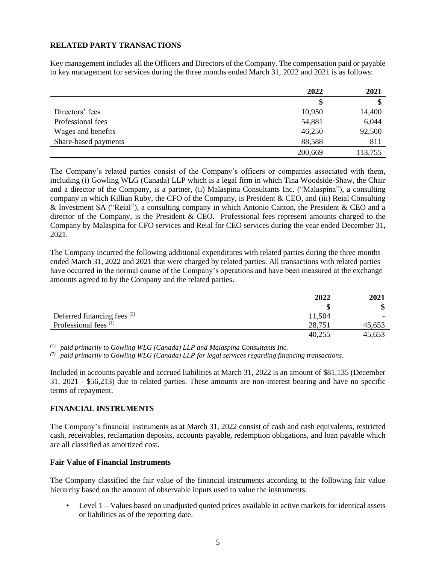## **RELATED PARTY TRANSACTIONS**

Key management includes all the Officers and Directors of the Company. The compensation paid or payable to key management for services during the three months ended March 31, 2022 and 2021 is as follows:

|                      | 2022    | 2021    |
|----------------------|---------|---------|
|                      | \$      | \$      |
| Directors' fees      | 10,950  | 14,400  |
| Professional fees    | 54,881  | 6,044   |
| Wages and benefits   | 46,250  | 92,500  |
| Share-based payments | 88,588  | 811     |
|                      | 200,669 | 113,755 |

The Company's related parties consist of the Company's officers or companies associated with them, including (i) Gowling WLG (Canada) LLP which is a legal firm in which Tina Woodside-Shaw, the Chair and a director of the Company, is a partner, (ii) Malaspina Consultants Inc. ("Malaspina"), a consulting company in which Killian Ruby, the CFO of the Company, is President & CEO, and (iii) Reial Consulting & Investment SA ("Reial"), a consulting company in which Antonio Canton, the President & CEO and a director of the Company, is the President & CEO. Professional fees represent amounts charged to the Company by Malaspina for CFO services and Reial for CEO services during the year ended December 31, 2021.

The Company incurred the following additional expenditures with related parties during the three months ended March 31, 2022 and 2021 that were charged by related parties. All transactions with related parties have occurred in the normal course of the Company's operations and have been measured at the exchange amounts agreed to by the Company and the related parties.

|                                        | 2022   | 2021   |
|----------------------------------------|--------|--------|
|                                        | ۱D     | ۱J     |
| Deferred financing fees <sup>(2)</sup> | 11,504 |        |
| Professional fees $(1)$                | 28,751 | 45,653 |
|                                        | 40,255 | 45,653 |

*(1) paid primarily to Gowling WLG (Canada) LLP and Malaspina Consultants Inc.* 

*(2) paid primarily to Gowling WLG (Canada) LLP for legal services regarding financing transactions.*

Included in accounts payable and accrued liabilities at March 31, 2022 is an amount of \$81,135 (December 31, 2021 - \$56,213) due to related parties. These amounts are non-interest bearing and have no specific terms of repayment.

## **FINANCIAL INSTRUMENTS**

The Company's financial instruments as at March 31, 2022 consist of cash and cash equivalents, restricted cash, receivables, reclamation deposits, accounts payable, redemption obligations, and loan payable which are all classified as amortized cost.

## **Fair Value of Financial Instruments**

The Company classified the fair value of the financial instruments according to the following fair value hierarchy based on the amount of observable inputs used to value the instruments:

• Level 1 – Values based on unadjusted quoted prices available in active markets for identical assets or liabilities as of the reporting date.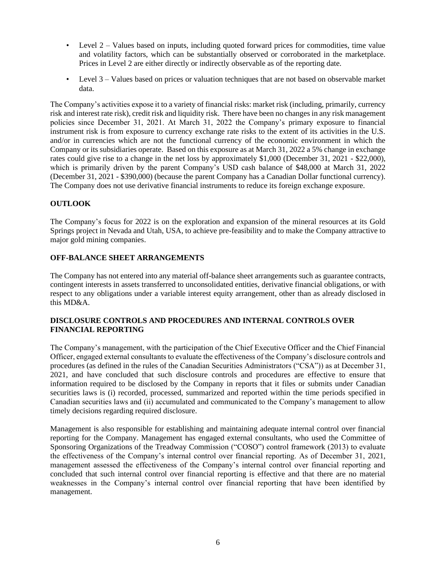- Level 2 Values based on inputs, including quoted forward prices for commodities, time value and volatility factors, which can be substantially observed or corroborated in the marketplace. Prices in Level 2 are either directly or indirectly observable as of the reporting date.
- Level 3 Values based on prices or valuation techniques that are not based on observable market data.

The Company's activities expose it to a variety of financial risks: market risk (including, primarily, currency risk and interest rate risk), credit risk and liquidity risk. There have been no changes in any risk management policies since December 31, 2021. At March 31, 2022 the Company's primary exposure to financial instrument risk is from exposure to currency exchange rate risks to the extent of its activities in the U.S. and/or in currencies which are not the functional currency of the economic environment in which the Company or its subsidiaries operate. Based on this exposure as at March 31, 2022 a 5% change in exchange rates could give rise to a change in the net loss by approximately \$1,000 (December 31, 2021 - \$22,000), which is primarily driven by the parent Company's USD cash balance of \$48,000 at March 31, 2022 (December 31, 2021 - \$390,000) (because the parent Company has a Canadian Dollar functional currency). The Company does not use derivative financial instruments to reduce its foreign exchange exposure.

# **OUTLOOK**

The Company's focus for 2022 is on the exploration and expansion of the mineral resources at its Gold Springs project in Nevada and Utah, USA, to achieve pre-feasibility and to make the Company attractive to major gold mining companies.

## **OFF-BALANCE SHEET ARRANGEMENTS**

The Company has not entered into any material off-balance sheet arrangements such as guarantee contracts, contingent interests in assets transferred to unconsolidated entities, derivative financial obligations, or with respect to any obligations under a variable interest equity arrangement, other than as already disclosed in this MD&A.

## **DISCLOSURE CONTROLS AND PROCEDURES AND INTERNAL CONTROLS OVER FINANCIAL REPORTING**

The Company's management, with the participation of the Chief Executive Officer and the Chief Financial Officer, engaged external consultants to evaluate the effectiveness of the Company's disclosure controls and procedures (as defined in the rules of the Canadian Securities Administrators ("CSA")) as at December 31, 2021, and have concluded that such disclosure controls and procedures are effective to ensure that information required to be disclosed by the Company in reports that it files or submits under Canadian securities laws is (i) recorded, processed, summarized and reported within the time periods specified in Canadian securities laws and (ii) accumulated and communicated to the Company's management to allow timely decisions regarding required disclosure.

Management is also responsible for establishing and maintaining adequate internal control over financial reporting for the Company. Management has engaged external consultants, who used the Committee of Sponsoring Organizations of the Treadway Commission ("COSO") control framework (2013) to evaluate the effectiveness of the Company's internal control over financial reporting. As of December 31, 2021, management assessed the effectiveness of the Company's internal control over financial reporting and concluded that such internal control over financial reporting is effective and that there are no material weaknesses in the Company's internal control over financial reporting that have been identified by management.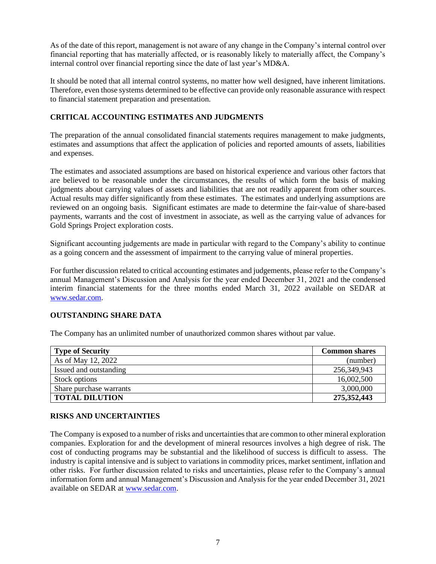As of the date of this report, management is not aware of any change in the Company's internal control over financial reporting that has materially affected, or is reasonably likely to materially affect, the Company's internal control over financial reporting since the date of last year's MD&A.

It should be noted that all internal control systems, no matter how well designed, have inherent limitations. Therefore, even those systems determined to be effective can provide only reasonable assurance with respect to financial statement preparation and presentation.

# **CRITICAL ACCOUNTING ESTIMATES AND JUDGMENTS**

The preparation of the annual consolidated financial statements requires management to make judgments, estimates and assumptions that affect the application of policies and reported amounts of assets, liabilities and expenses.

The estimates and associated assumptions are based on historical experience and various other factors that are believed to be reasonable under the circumstances, the results of which form the basis of making judgments about carrying values of assets and liabilities that are not readily apparent from other sources. Actual results may differ significantly from these estimates. The estimates and underlying assumptions are reviewed on an ongoing basis. Significant estimates are made to determine the fair-value of share-based payments, warrants and the cost of investment in associate, as well as the carrying value of advances for Gold Springs Project exploration costs.

Significant accounting judgements are made in particular with regard to the Company's ability to continue as a going concern and the assessment of impairment to the carrying value of mineral properties.

For further discussion related to critical accounting estimates and judgements, please refer to the Company's annual Management's Discussion and Analysis for the year ended December 31, 2021 and the condensed interim financial statements for the three months ended March 31, 2022 available on SEDAR at [www.sedar.com.](about:blank)

## **OUTSTANDING SHARE DATA**

The Company has an unlimited number of unauthorized common shares without par value.

| <b>Type of Security</b> | <b>Common shares</b> |
|-------------------------|----------------------|
| As of May 12, 2022      | (number)             |
| Issued and outstanding  | 256,349,943          |
| Stock options           | 16,002,500           |
| Share purchase warrants | 3,000,000            |
| <b>TOTAL DILUTION</b>   | 275,352,443          |

## **RISKS AND UNCERTAINTIES**

The Company is exposed to a number of risks and uncertainties that are common to other mineral exploration companies. Exploration for and the development of mineral resources involves a high degree of risk. The cost of conducting programs may be substantial and the likelihood of success is difficult to assess. The industry is capital intensive and is subject to variations in commodity prices, market sentiment, inflation and other risks. For further discussion related to risks and uncertainties, please refer to the Company's annual information form and annual Management's Discussion and Analysis for the year ended December 31, 2021 available on SEDAR at [www.sedar.com.](about:blank)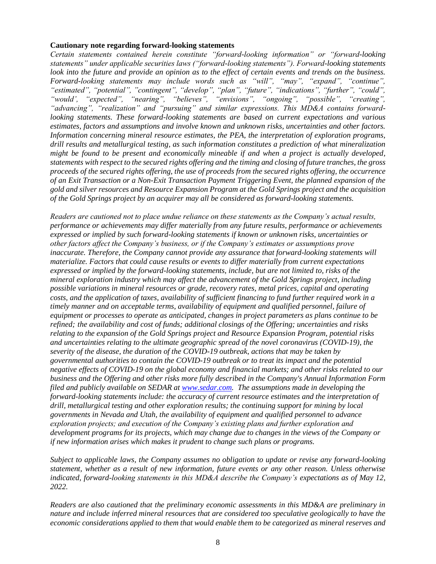#### **Cautionary note regarding forward-looking statements**

*Certain statements contained herein constitute "forward-looking information" or "forward-looking statements" under applicable securities laws ("forward-looking statements"). Forward-looking statements look into the future and provide an opinion as to the effect of certain events and trends on the business. Forward-looking statements may include words such as "will", "may", "expand", "continue", "estimated", "potential", "contingent", "develop", "plan", "future", "indications", "further", "could", "would', "expected", "nearing", "believes", "envisions", "ongoing", "possible", "creating", "advancing", "realization" and "pursuing" and similar expressions. This MD&A contains forwardlooking statements. These forward-looking statements are based on current expectations and various estimates, factors and assumptions and involve known and unknown risks, uncertainties and other factors. Information concerning mineral resource estimates, the PEA, the interpretation of exploration programs, drill results and metallurgical testing, as such information constitutes a prediction of what mineralization might be found to be present and economically mineable if and when a project is actually developed, statements with respect to the secured rights offering and the timing and closing of future tranches, the gross proceeds of the secured rights offering, the use of proceeds from the secured rights offering, the occurrence of an Exit Transaction or a Non-Exit Transaction Payment Triggering Event, the planned expansion of the gold and silver resources and Resource Expansion Program at the Gold Springs project and the acquisition of the Gold Springs project by an acquirer may all be considered as forward-looking statements.*

*Readers are cautioned not to place undue reliance on these statements as the Company's actual results, performance or achievements may differ materially from any future results, performance or achievements expressed or implied by such forward-looking statements if known or unknown risks, uncertainties or other factors affect the Company's business, or if the Company's estimates or assumptions prove inaccurate. Therefore, the Company cannot provide any assurance that forward-looking statements will materialize. Factors that could cause results or events to differ materially from current expectations expressed or implied by the forward-looking statements, include, but are not limited to, risks of the mineral exploration industry which may affect the advancement of the Gold Springs project, including possible variations in mineral resources or grade, recovery rates, metal prices, capital and operating costs, and the application of taxes, availability of sufficient financing to fund further required work in a timely manner and on acceptable terms, availability of equipment and qualified personnel, failure of equipment or processes to operate as anticipated, changes in project parameters as plans continue to be refined; the availability and cost of funds; additional closings of the Offering; uncertainties and risks relating to the expansion of the Gold Springs project and Resource Expansion Program, potential risks and uncertainties relating to the ultimate geographic spread of the novel coronavirus (COVID-19), the severity of the disease, the duration of the COVID-19 outbreak, actions that may be taken by governmental authorities to contain the COVID-19 outbreak or to treat its impact and the potential negative effects of COVID-19 on the global economy and financial markets; and other risks related to our business and the Offering and other risks more fully described in the Company's Annual Information Form filed and publicly available on SEDAR at [www.sedar.com.](about:blank) The assumptions made in developing the forward-looking statements include: the accuracy of current resource estimates and the interpretation of drill, metallurgical testing and other exploration results; the continuing support for mining by local governments in Nevada and Utah, the availability of equipment and qualified personnel to advance exploration projects; and execution of the Company's existing plans and further exploration and development programs for its projects, which may change due to changes in the views of the Company or if new information arises which makes it prudent to change such plans or programs.*

*Subject to applicable laws, the Company assumes no obligation to update or revise any forward-looking statement, whether as a result of new information, future events or any other reason. Unless otherwise indicated, forward-looking statements in this MD&A describe the Company's expectations as of May 12, 2022.*

*Readers are also cautioned that the preliminary economic assessments in this MD&A are preliminary in nature and include inferred mineral resources that are considered too speculative geologically to have the economic considerations applied to them that would enable them to be categorized as mineral reserves and*